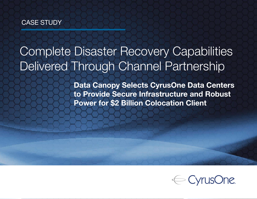# CASE STUDY

# Complete Disaster Recovery Capabilities Delivered Through Channel Partnership

Data Canopy Selects CyrusOne Data Centers to Provide Secure Infrastructure and Robust Power for \$2 Billion Colocation Client

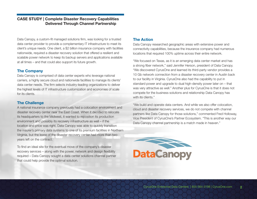## CASE STUDY | Complete Disaster Recovery Capabilities Delivered Through Channel Partnership

Data Canopy, a custom-fit managed solutions firm, was looking for a trusted data center provider to provide a complementary IT infrastructure to meet its client's unique needs. One client, a \$2 billion insurance company with facilities nationwide, required a disaster recovery solution that offered a resilient and scalable power network to keep its backup servers and applications available at all times – and that could also support its future growth.

#### The Company

Data Canopy is comprised of data center experts who leverage national carriers, a highly secure cloud and nationwide facilities to manage its clients' data center needs. The firm selects industry-leading organizations to deliver the highest levels of IT infrastructure customization and economies of scale for its clients.

## The Challenge

A national insurance company previously had a colocation environment and disaster recovery center near the East Coast. When it decided to relocate its headquarters to the Midwest, it wanted to reposition its production environment and possibly its recovery infrastructure as well – if the location and price was right. Data Canopy was able to quickly transition the insurer's primary data systems to one of its premium facilities in Northern Virginia, but the lease of the disaster recovery center had more than two years left on the contract.

To find an ideal site for the eventual move of the company's disaster recovery services – along with the power, network and design flexibility required – Data Canopy sought a data center solutions channel partner that could help provide the optimal solution.

# The Action

Data Canopy researched geographic areas with extensive power and connectivity capabilities, because the insurance company had numerous locations that required 100% uptime across their entire network.

"We focused on Texas, as it is an emerging data center market and has a strong fiber network," said Jennifer Herson, president of Data Canopy. "We discovered CyrusOne and learned its third-party vendor provides a 10 Gb network connection from a disaster recovery center in Austin back to our facility in Virginia. CyrusOne also had the capability to put in standard power and upgrade to dual high-density power later on – that was very attractive as well." Another plus for CyrusOne is that it does not compete for the business solutions and relationship Data Canopy has with its clients."

"We build and operate data centers. And while we also offer colocation, cloud and disaster recovery services, we do not compete with channel partners like Data Canopy for those solutions," commented Fred Holloway, Vice President of CyrusOne's Partner Ecosystem. "This is another way our Data Canopy channel partnership is a match made in heaven."

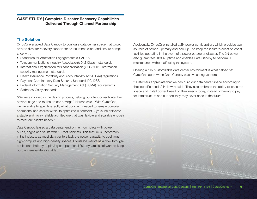## CASE STUDY | Complete Disaster Recovery Capabilities Delivered Through Channel Partnership

#### The Solution

CyrusOne enabled Data Canopy to configure data center space that would provide disaster recovery support for its insurance client and ensure compliance with:

- Standards for Attestation Engagements (SSAE 16)
- Telecommunications Industry Association's 942 Class 4 standards
- International Organization for Standardization (ISO 27001) information security management standards
- Health Insurance Portability and Accountability Act (HIPAA) regulations
- Payment Card Industry Data Security Standard (PCI DSS)
- Federal Information Security Management Act (FISMA) requirements
- Sarbanes-Oxley standards

"We were involved in the design process, helping our client consolidate their power usage and realize drastic savings," Herson said. "With CyrusOne, we were able to specify exactly what our client needed to remain compliant, operational and secure within its optimized IT footprint. CyrusOne delivered a stable and highly reliable architecture that was flexible and scalable enough to meet our client's needs."

Data Canopy leased a data center environment complete with power builds, cages and vaults with 10-foot cabinets. This feature is uncommon in the industry, as most data centers lack the power capacity to cool large, high-compute and high-density spaces. CyrusOne maintains airflow throughout its data halls by deploying computational fluid dynamics software to keep building temperatures stable.

Additionally, CyrusOne installed a 2N power configuration, which provides two sources of power – primary and backup – to keep the insurer's coast-to-coast facilities operating in the event of a power outage or disaster. The 2N power also guarantees 100% uptime and enables Data Canopy to perform IT maintenance without affecting the system.

Offering a fully customizable data center environment is what helped set CyrusOne apart when Data Canopy was evaluating vendors.

"Customers appreciate that we can build out data center space according to their specific needs," Holloway said. "They also embrace the ability to lease the space and install power based on their needs today, instead of having to pay for infrastructure and support they may never need in the future."



<u>1990 - Januari Lander</u>